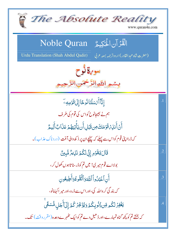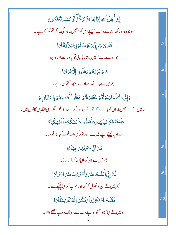| إِنَّ أَجَلَ ٱللَّهِ إِذَا جَأَءَلَا يُؤَخَّرُ لَوۡ كُنتُمۡ تَعۡلَمُونَ                      |                |
|----------------------------------------------------------------------------------------------|----------------|
| وہ جو وعد ہ رکھااللہ نے، جب آپنیچےاس کو ڈھیل نہ ہو گی۔اگر تم کو سمجھ ہے۔                     |                |
| قَالَ مَبِّ إِنِّى دَعَوْتُ قَوْمِي لَيْلاً وَهَٰمَامًا                                      | .5             |
| بولا،اے رب! میں بلا تار ہاا پنی قوم کورات اور دن،                                            |                |
| فَلَمَ يَزِدُهُمُ دُعَآءِىٓ إِلَّا فِرَاءًا                                                  | .6             |
| چرمیرے بلانے سے اور زیادہ جلا گتے ہی رہے،                                                    |                |
| دَإِنِّي كُلَّمَادَعَوۡقُمۡ لِتَغۡفِرَ هَٰٓئُمۡ جَعَلۡوَٱ أَصَبِعَهُمۡ فِىٓءَاذَانِهِمۡ      | 7              |
| اور میں نے نے جس بار ان کو ہلایا، تا( کہ تو) انکو معاف کرے،ڈالنے لگے اپنی انگلیاں کانوں میں، |                |
| وَٱسۡتَغۡشَوۡأَثِيَابَهُمۡ وَأَصَرُّواۡوَٱسۡتَكۡبَرُواۡ ٱسۡتِكۡبَاءًا                        |                |
| اور اوپر لپیٹے اپنے کپڑے،اور ضد کی،اور غر ور کیابڑاغر ور۔                                    |                |
| ثُمَّ إِنِّي دَعَوْتُهُمْ جِهَائًا                                                           | $\overline{8}$ |
| پھر میں نے ان کو بلایااحا گر (بر ملا)۔                                                       |                |
| ثُمَّ إِنِّى أَعۡلَنۡتُ لَهُمۡ وَأَسۡرَىٰٓتُ لَهُمۡ إِسۡرَامًا                               | .9             |
| پھر میں نے ان کو کھول کر کہااور ح <u>ص</u> ب کر کہا چیکے سے۔                                 |                |
| فَقُلْتُ ٱسۡتَغۡفِرُواۡىَٰبَكُمۡ إِنَّهُ كَانَ غَفَّامَ ا                                    | .10            |
| تومیں نے کہا گناہ بخشواؤاپنے رب سے ، بیٹک وہ ہے بخشنے والا۔                                  |                |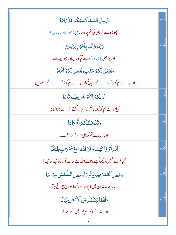| يُزَسِلِ ٱلسَّمَآءَ عَلَيْكُمِ قِنْ مَامًا                                  | .11 |
|-----------------------------------------------------------------------------|-----|
| چپوڑ دے آسان کی تم پر دھاریں (موسلا داربارش)،                               |     |
| وَيُّهۡلِدۡكُمۡ بِأَٰهُوَالِ وَيَنِينَ                                      | .12 |
| اور بڑھتی (زیادہ)دے تم کومال اور بیٹوں سے،                                  |     |
| وَيَجْعَل لَّكُمُ جَنَّتٍ وَيَجْعَل لَّكُمُ أَنۡهَٰٓئَ ا                    |     |
| اور بنادے تم کو ( تمہارے لیے ) باغ،اور بنادے تم کو ( تمہارے لیے ) نہریں۔    |     |
| قَالِكُمُ لَاتَرْجُونَ لِلَّهِ وَقَامًا                                     | .13 |
| کیاہواہے تم کو کیوں نہیں امید رکھتے اللہ سے بڑائی کی؟                       |     |
| وَقَدْ خَلَقَكُمْ أَكْوَاءًا                                                | .14 |
| اور اس نے تم کو بنایاطرح طرح سے۔                                            |     |
| أَلَمَ تَرَوۡأَكَيۡفَ خَلَقَٱللَّهُ سَبۡعَ سَمَوَاتٍ طِبَأَقَا              | .15 |
| کیاتم نے نہیں دیکھاکیسے بنائےاللہ نے سات آسان تہہ بر تہہ ؟                  |     |
| وَجَعَلَ ٱلْقَمَرَ فِيهِنَّ نُوحًا وَجَعَلَ ٱلشَّمۡسَ سِرَاجًا              | .16 |
| اور رکھا <mark>جاند اُن میں اُ</mark> جالا،اور رکھاسورج چ <u>راغ عل</u> تا۔ |     |
| وَٱللَّهُأَنۡبِتَكُم مِّنَ ٱلۡأَرۡهَضِ نَبَاتًا                             | .17 |
| اور اللہ نے اُگا یاتم کوزیین سے جماکر۔                                      |     |
|                                                                             |     |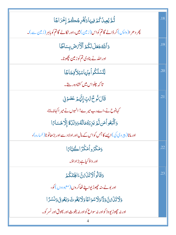| ڷؙڋێؙۼۣۑڵؗػ۠ؽؘ؋ۣڽؠؘٵۏڲؙڒٙڔج۠ڴؽ؋ڶڂڒٳڲؘٳ                                       | .18 |
|------------------------------------------------------------------------------|-----|
| چر دھر ا(واپس) کر ڈالے گاتم کواس(زیبن) میں،اور نکالے گاتم کو باہر (زیبن سے)۔ |     |
| وَأَللَّهُ جَعَلَ لَكُمُ ٱلْأَرْضَ بِسَاطًا                                  | .19 |
| اور اللہ نے بنادی تم کو زمین بچھونا۔                                         |     |
| ڵؚڷؾۺڵػ۠ۅٲڡ <i>ؚڹ۫</i> ؠؘٵۺڹٳٲڣؚڿٲڿٙٲ                                        | .20 |
| تا کہ چلواس میں کشادہ رہتے۔                                                  |     |
| قَالَ نُوحٌ تَابٌ إِنَّهُمْ عَصَوۡ فِي                                       | .21 |
| کہانوح نے،اےرب میرے! انہوں نے میر اکہانہ مانا،                               |     |
| وَٱتَّبَعُواً مَن لَّمَ يَزِدَهُمَالُهُ وَوَلَدُّهٌ إِلَّا خَسَاءًا          |     |
| اور مانا( پیر دی کی)ایسے کا جس کواس کے مال اور اولا دے اور بڑھاٹوٹا( خسارہ)، |     |
| دَمَكَرُواْمَكَّرَاڪُبَّائِ                                                  | .22 |
| اور داؤ کیاہے بڑاداؤ۔                                                        |     |
| دَقَالُواْلَاتَنَىّْنَ ءَالْهِتَكُمْ                                         | .23 |
| اور بو لے، نہ جھوڑیوا پنے ٹھاکروں (معبودوں )کو،                              |     |
| وَلَاتَذَىٰ لَقَّ وَدَّا وَلَاسُوَاعًا وَلَا يَغُوثَ وَيَعُوقَ وَنَسْرًا     |     |
| اور نه حچوڑ يو د د کواور نه سواع کواور نه يغوث اور ليوق اور نسر کو۔          |     |
|                                                                              |     |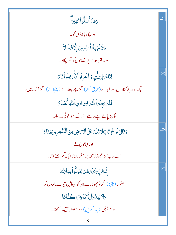| وَقَلْ أَضَلُّواْ كَثِيرَاً                                                          | .24 |
|--------------------------------------------------------------------------------------|-----|
| ادر بہکادیابہتوں کو۔                                                                 |     |
| وَلَاتَزِدِ ٱلظَّلِمِينَ إِلَّاضَلَلاَّ                                              |     |
| اور نہ توبڑھاؤپے انصافوں کو مگر بہکاوا۔                                              |     |
| لِمَّا خَطِيَـثِّهِمْ أُغُرِقُواُفَأَدۡخِلُواۡنَآءَا                                 | .25 |
| <u>کچھ وہ اپنے گناہوں سے ڈبو بے (غرق کئے) گئے، پھر بیٹھانے (پہنچائے) گئے آگ میں،</u> |     |
| فَلَمَ يَجِلُواْ لَهُمْ مِّن دُونِ النَّهِ أَنصَاءًا                                 |     |
| پھر نہ پائےاپنے داسطے اللہ کے سواکوئی مد د گار۔                                      |     |
| وَقَالَ نُوحٌ تَّابٍ لَا تَذَى عَلَى ٱلْأَيْرَضِ مِنَ ٱلْكَفِرِينَ دَيَّاحًا         | .26 |
| اور کہانوح نے                                                                        |     |
| اے رب! نہ حچھوڑ زمین پر منکر دں کاایک گھر <sup>پسنے</sup> والا۔                      |     |
| إِنَّكَ إِن تَذَرَهُمْ يُضِلُّواْ عِبَادَكَ                                          | .27 |
| مقرر (یقیناً) اگر توجھوڑ دےان کو، بہکائیں تیرے بندوں کو،                             |     |
| وَلَا يَلِدُوَاْ إِلَّا فَاجِرًا كَفَّامًا                                           |     |
| ادر جو جنیں (پیداکریں) سوڈھیٹھ حق نہ سمجھتا۔                                         |     |
| 5                                                                                    |     |